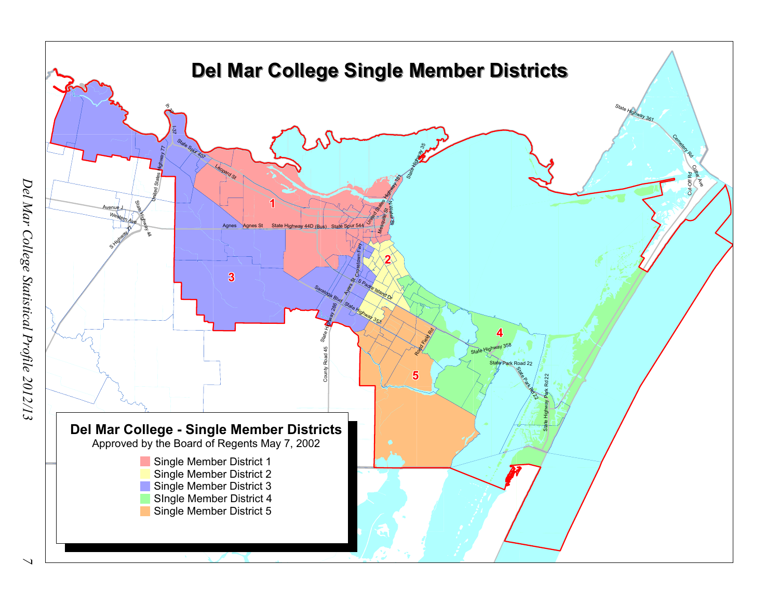